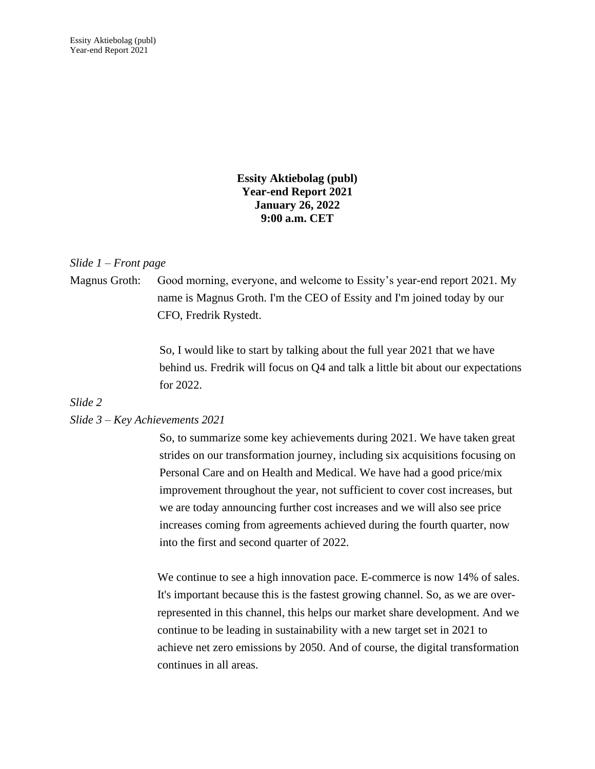Essity Aktiebolag (publ) Year-end Report 2021

> **Essity Aktiebolag (publ) Year-end Report 2021 January 26, 2022 9:00 a.m. CET**

#### *Slide 1 – Front page*

Magnus Groth: Good morning, everyone, and welcome to Essity's year-end report 2021. My name is Magnus Groth. I'm the CEO of Essity and I'm joined today by our CFO, Fredrik Rystedt.

> So, I would like to start by talking about the full year 2021 that we have behind us. Fredrik will focus on Q4 and talk a little bit about our expectations for 2022.

#### *Slide 2*

#### *Slide 3 – Key Achievements 2021*

So, to summarize some key achievements during 2021. We have taken great strides on our transformation journey, including six acquisitions focusing on Personal Care and on Health and Medical. We have had a good price/mix improvement throughout the year, not sufficient to cover cost increases, but we are today announcing further cost increases and we will also see price increases coming from agreements achieved during the fourth quarter, now into the first and second quarter of 2022.

We continue to see a high innovation pace. E-commerce is now 14% of sales. It's important because this is the fastest growing channel. So, as we are overrepresented in this channel, this helps our market share development. And we continue to be leading in sustainability with a new target set in 2021 to achieve net zero emissions by 2050. And of course, the digital transformation continues in all areas.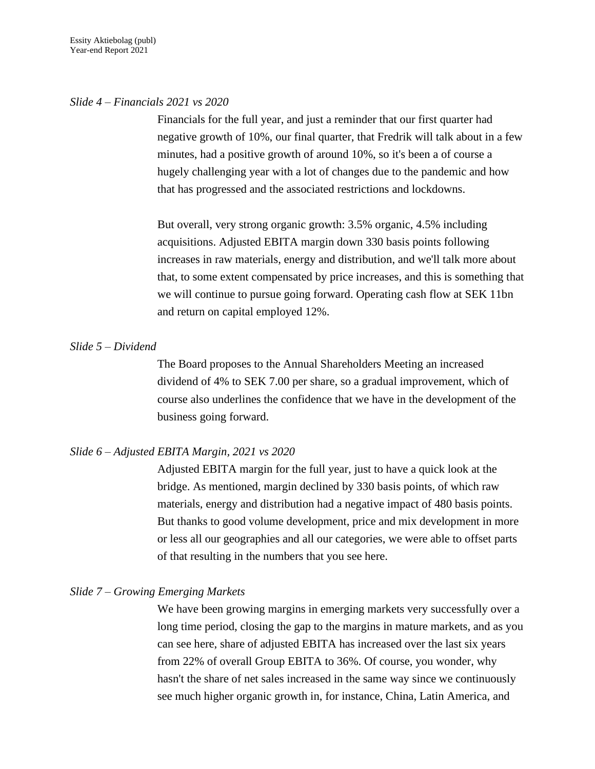#### *Slide 4 – Financials 2021 vs 2020*

Financials for the full year, and just a reminder that our first quarter had negative growth of 10%, our final quarter, that Fredrik will talk about in a few minutes, had a positive growth of around 10%, so it's been a of course a hugely challenging year with a lot of changes due to the pandemic and how that has progressed and the associated restrictions and lockdowns.

But overall, very strong organic growth: 3.5% organic, 4.5% including acquisitions. Adjusted EBITA margin down 330 basis points following increases in raw materials, energy and distribution, and we'll talk more about that, to some extent compensated by price increases, and this is something that we will continue to pursue going forward. Operating cash flow at SEK 11bn and return on capital employed 12%.

#### *Slide 5 – Dividend*

The Board proposes to the Annual Shareholders Meeting an increased dividend of 4% to SEK 7.00 per share, so a gradual improvement, which of course also underlines the confidence that we have in the development of the business going forward.

#### *Slide 6 – Adjusted EBITA Margin, 2021 vs 2020*

Adjusted EBITA margin for the full year, just to have a quick look at the bridge. As mentioned, margin declined by 330 basis points, of which raw materials, energy and distribution had a negative impact of 480 basis points. But thanks to good volume development, price and mix development in more or less all our geographies and all our categories, we were able to offset parts of that resulting in the numbers that you see here.

#### *Slide 7 – Growing Emerging Markets*

We have been growing margins in emerging markets very successfully over a long time period, closing the gap to the margins in mature markets, and as you can see here, share of adjusted EBITA has increased over the last six years from 22% of overall Group EBITA to 36%. Of course, you wonder, why hasn't the share of net sales increased in the same way since we continuously see much higher organic growth in, for instance, China, Latin America, and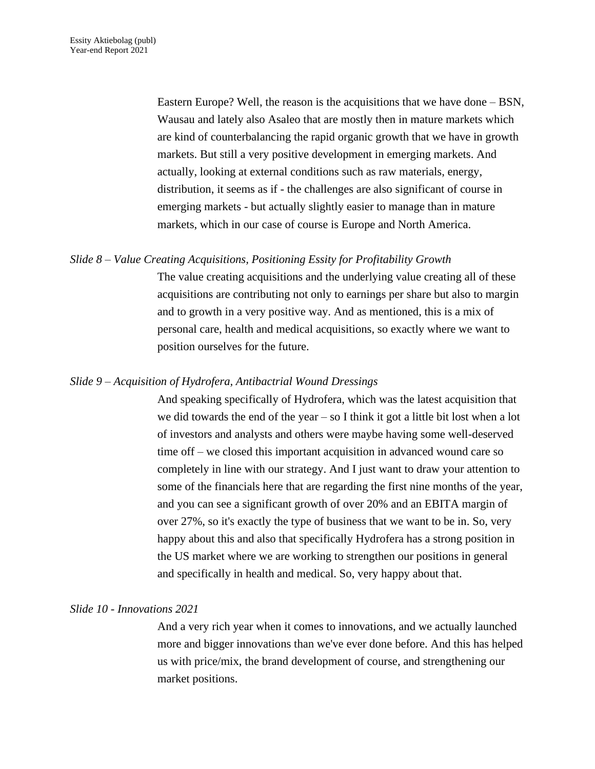Eastern Europe? Well, the reason is the acquisitions that we have done – BSN, Wausau and lately also Asaleo that are mostly then in mature markets which are kind of counterbalancing the rapid organic growth that we have in growth markets. But still a very positive development in emerging markets. And actually, looking at external conditions such as raw materials, energy, distribution, it seems as if - the challenges are also significant of course in emerging markets - but actually slightly easier to manage than in mature markets, which in our case of course is Europe and North America.

#### *Slide 8 – Value Creating Acquisitions, Positioning Essity for Profitability Growth*

The value creating acquisitions and the underlying value creating all of these acquisitions are contributing not only to earnings per share but also to margin and to growth in a very positive way. And as mentioned, this is a mix of personal care, health and medical acquisitions, so exactly where we want to position ourselves for the future.

#### *Slide 9 – Acquisition of Hydrofera, Antibactrial Wound Dressings*

And speaking specifically of Hydrofera, which was the latest acquisition that we did towards the end of the year – so I think it got a little bit lost when a lot of investors and analysts and others were maybe having some well-deserved time off – we closed this important acquisition in advanced wound care so completely in line with our strategy. And I just want to draw your attention to some of the financials here that are regarding the first nine months of the year, and you can see a significant growth of over 20% and an EBITA margin of over 27%, so it's exactly the type of business that we want to be in. So, very happy about this and also that specifically Hydrofera has a strong position in the US market where we are working to strengthen our positions in general and specifically in health and medical. So, very happy about that.

#### *Slide 10 - Innovations 2021*

And a very rich year when it comes to innovations, and we actually launched more and bigger innovations than we've ever done before. And this has helped us with price/mix, the brand development of course, and strengthening our market positions.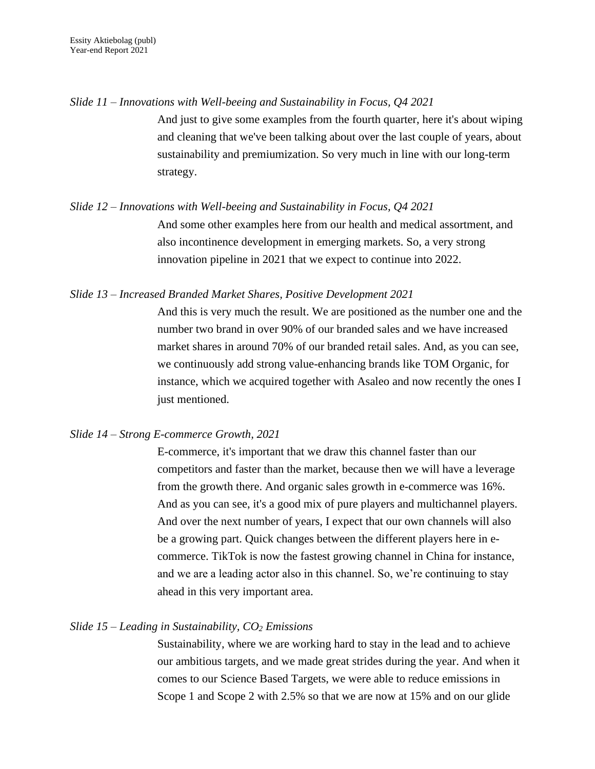*Slide 11 – Innovations with Well-beeing and Sustainability in Focus, Q4 2021*

And just to give some examples from the fourth quarter, here it's about wiping and cleaning that we've been talking about over the last couple of years, about sustainability and premiumization. So very much in line with our long-term strategy.

# *Slide 12 – Innovations with Well-beeing and Sustainability in Focus, Q4 2021* And some other examples here from our health and medical assortment, and also incontinence development in emerging markets. So, a very strong innovation pipeline in 2021 that we expect to continue into 2022.

## *Slide 13 – Increased Branded Market Shares, Positive Development 2021*

And this is very much the result. We are positioned as the number one and the number two brand in over 90% of our branded sales and we have increased market shares in around 70% of our branded retail sales. And, as you can see, we continuously add strong value-enhancing brands like TOM Organic, for instance, which we acquired together with Asaleo and now recently the ones I just mentioned.

#### *Slide 14 – Strong E-commerce Growth, 2021*

E-commerce, it's important that we draw this channel faster than our competitors and faster than the market, because then we will have a leverage from the growth there. And organic sales growth in e-commerce was 16%. And as you can see, it's a good mix of pure players and multichannel players. And over the next number of years, I expect that our own channels will also be a growing part. Quick changes between the different players here in ecommerce. TikTok is now the fastest growing channel in China for instance, and we are a leading actor also in this channel. So, we're continuing to stay ahead in this very important area.

#### *Slide 15 – Leading in Sustainability, CO<sup>2</sup> Emissions*

Sustainability, where we are working hard to stay in the lead and to achieve our ambitious targets, and we made great strides during the year. And when it comes to our Science Based Targets, we were able to reduce emissions in Scope 1 and Scope 2 with 2.5% so that we are now at 15% and on our glide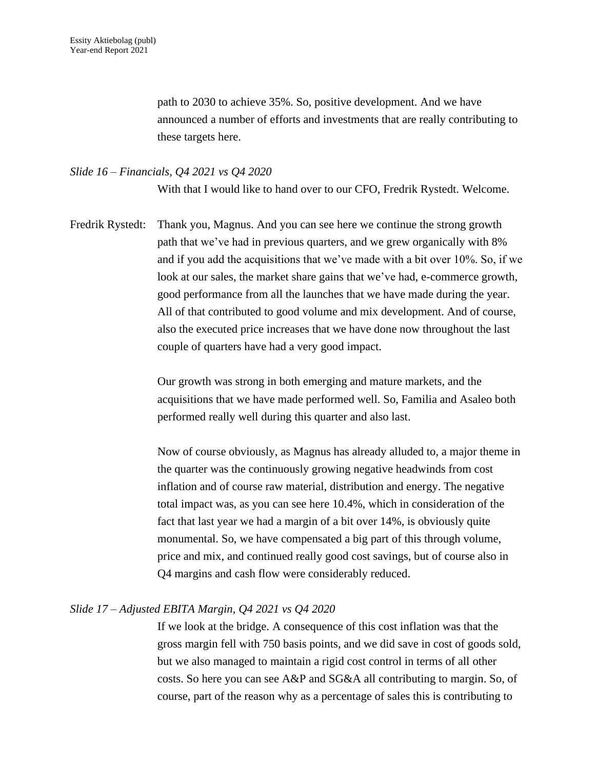path to 2030 to achieve 35%. So, positive development. And we have announced a number of efforts and investments that are really contributing to these targets here.

#### *Slide 16 – Financials, Q4 2021 vs Q4 2020*

With that I would like to hand over to our CFO, Fredrik Rystedt. Welcome.

Fredrik Rystedt: Thank you, Magnus. And you can see here we continue the strong growth path that we've had in previous quarters, and we grew organically with 8% and if you add the acquisitions that we've made with a bit over 10%. So, if we look at our sales, the market share gains that we've had, e-commerce growth, good performance from all the launches that we have made during the year. All of that contributed to good volume and mix development. And of course, also the executed price increases that we have done now throughout the last couple of quarters have had a very good impact.

> Our growth was strong in both emerging and mature markets, and the acquisitions that we have made performed well. So, Familia and Asaleo both performed really well during this quarter and also last.

Now of course obviously, as Magnus has already alluded to, a major theme in the quarter was the continuously growing negative headwinds from cost inflation and of course raw material, distribution and energy. The negative total impact was, as you can see here 10.4%, which in consideration of the fact that last year we had a margin of a bit over 14%, is obviously quite monumental. So, we have compensated a big part of this through volume, price and mix, and continued really good cost savings, but of course also in Q4 margins and cash flow were considerably reduced.

#### *Slide 17 – Adjusted EBITA Margin, Q4 2021 vs Q4 2020*

If we look at the bridge. A consequence of this cost inflation was that the gross margin fell with 750 basis points, and we did save in cost of goods sold, but we also managed to maintain a rigid cost control in terms of all other costs. So here you can see A&P and SG&A all contributing to margin. So, of course, part of the reason why as a percentage of sales this is contributing to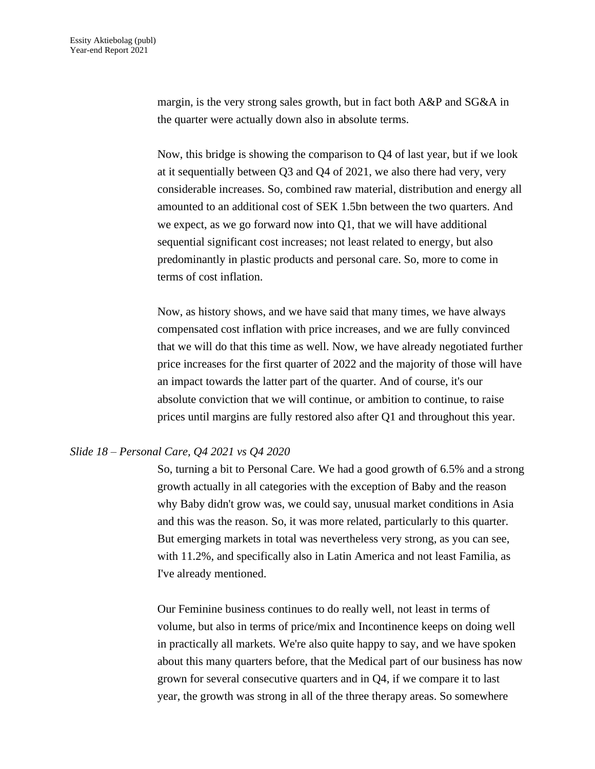margin, is the very strong sales growth, but in fact both A&P and SG&A in the quarter were actually down also in absolute terms.

Now, this bridge is showing the comparison to Q4 of last year, but if we look at it sequentially between Q3 and Q4 of 2021, we also there had very, very considerable increases. So, combined raw material, distribution and energy all amounted to an additional cost of SEK 1.5bn between the two quarters. And we expect, as we go forward now into Q1, that we will have additional sequential significant cost increases; not least related to energy, but also predominantly in plastic products and personal care. So, more to come in terms of cost inflation.

Now, as history shows, and we have said that many times, we have always compensated cost inflation with price increases, and we are fully convinced that we will do that this time as well. Now, we have already negotiated further price increases for the first quarter of 2022 and the majority of those will have an impact towards the latter part of the quarter. And of course, it's our absolute conviction that we will continue, or ambition to continue, to raise prices until margins are fully restored also after Q1 and throughout this year.

#### *Slide 18 – Personal Care, Q4 2021 vs Q4 2020*

So, turning a bit to Personal Care. We had a good growth of 6.5% and a strong growth actually in all categories with the exception of Baby and the reason why Baby didn't grow was, we could say, unusual market conditions in Asia and this was the reason. So, it was more related, particularly to this quarter. But emerging markets in total was nevertheless very strong, as you can see, with 11.2%, and specifically also in Latin America and not least Familia, as I've already mentioned.

Our Feminine business continues to do really well, not least in terms of volume, but also in terms of price/mix and Incontinence keeps on doing well in practically all markets. We're also quite happy to say, and we have spoken about this many quarters before, that the Medical part of our business has now grown for several consecutive quarters and in Q4, if we compare it to last year, the growth was strong in all of the three therapy areas. So somewhere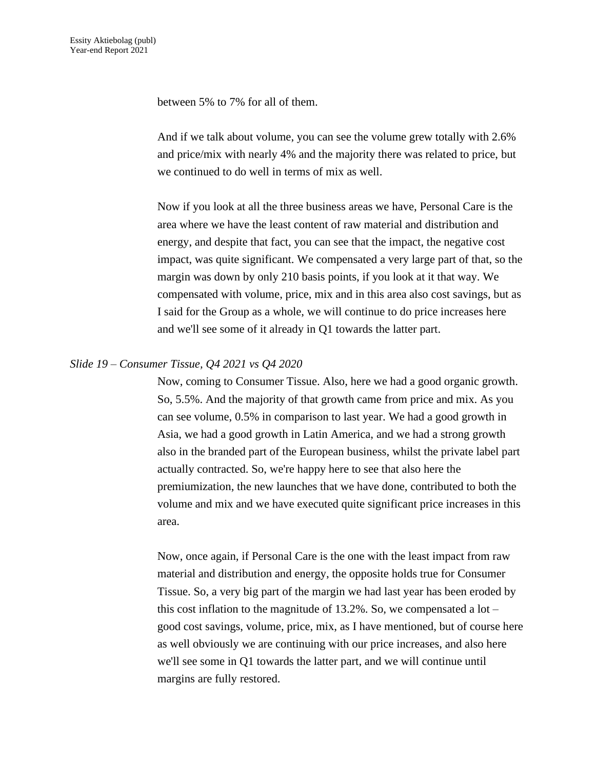between 5% to 7% for all of them.

And if we talk about volume, you can see the volume grew totally with 2.6% and price/mix with nearly 4% and the majority there was related to price, but we continued to do well in terms of mix as well.

Now if you look at all the three business areas we have, Personal Care is the area where we have the least content of raw material and distribution and energy, and despite that fact, you can see that the impact, the negative cost impact, was quite significant. We compensated a very large part of that, so the margin was down by only 210 basis points, if you look at it that way. We compensated with volume, price, mix and in this area also cost savings, but as I said for the Group as a whole, we will continue to do price increases here and we'll see some of it already in Q1 towards the latter part.

#### *Slide 19 – Consumer Tissue, Q4 2021 vs Q4 2020*

Now, coming to Consumer Tissue. Also, here we had a good organic growth. So, 5.5%. And the majority of that growth came from price and mix. As you can see volume, 0.5% in comparison to last year. We had a good growth in Asia, we had a good growth in Latin America, and we had a strong growth also in the branded part of the European business, whilst the private label part actually contracted. So, we're happy here to see that also here the premiumization, the new launches that we have done, contributed to both the volume and mix and we have executed quite significant price increases in this area.

Now, once again, if Personal Care is the one with the least impact from raw material and distribution and energy, the opposite holds true for Consumer Tissue. So, a very big part of the margin we had last year has been eroded by this cost inflation to the magnitude of  $13.2\%$ . So, we compensated a lot – good cost savings, volume, price, mix, as I have mentioned, but of course here as well obviously we are continuing with our price increases, and also here we'll see some in Q1 towards the latter part, and we will continue until margins are fully restored.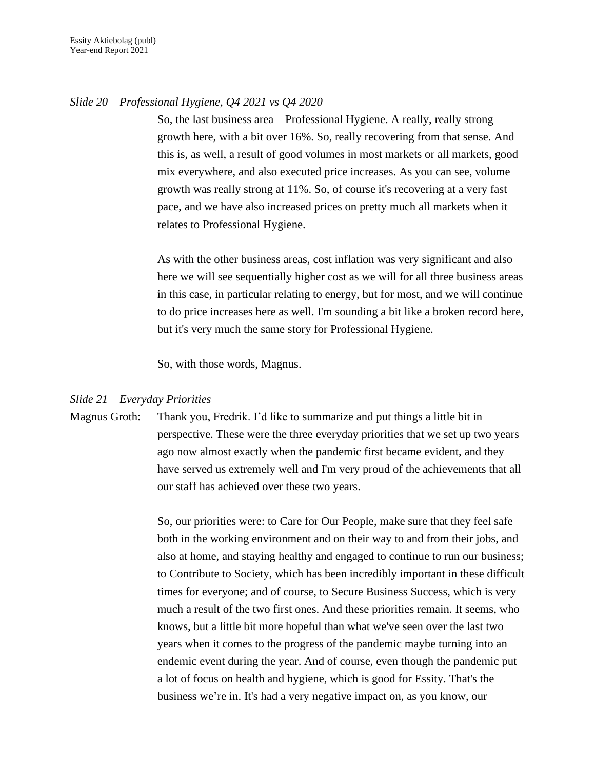#### *Slide 20 – Professional Hygiene, Q4 2021 vs Q4 2020*

So, the last business area – Professional Hygiene. A really, really strong growth here, with a bit over 16%. So, really recovering from that sense. And this is, as well, a result of good volumes in most markets or all markets, good mix everywhere, and also executed price increases. As you can see, volume growth was really strong at 11%. So, of course it's recovering at a very fast pace, and we have also increased prices on pretty much all markets when it relates to Professional Hygiene.

As with the other business areas, cost inflation was very significant and also here we will see sequentially higher cost as we will for all three business areas in this case, in particular relating to energy, but for most, and we will continue to do price increases here as well. I'm sounding a bit like a broken record here, but it's very much the same story for Professional Hygiene.

So, with those words, Magnus.

## *Slide 21 – Everyday Priorities*

Magnus Groth: Thank you, Fredrik. I'd like to summarize and put things a little bit in perspective. These were the three everyday priorities that we set up two years ago now almost exactly when the pandemic first became evident, and they have served us extremely well and I'm very proud of the achievements that all our staff has achieved over these two years.

> So, our priorities were: to Care for Our People, make sure that they feel safe both in the working environment and on their way to and from their jobs, and also at home, and staying healthy and engaged to continue to run our business; to Contribute to Society, which has been incredibly important in these difficult times for everyone; and of course, to Secure Business Success, which is very much a result of the two first ones. And these priorities remain. It seems, who knows, but a little bit more hopeful than what we've seen over the last two years when it comes to the progress of the pandemic maybe turning into an endemic event during the year. And of course, even though the pandemic put a lot of focus on health and hygiene, which is good for Essity. That's the business we're in. It's had a very negative impact on, as you know, our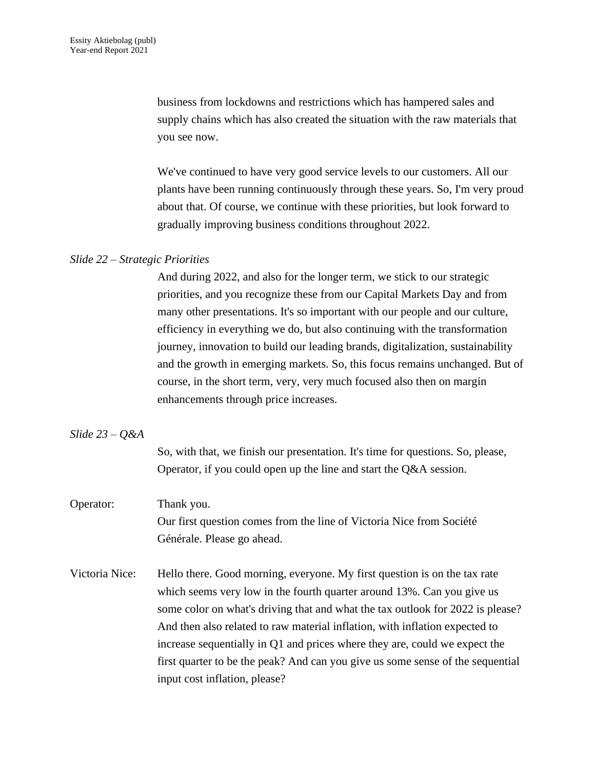business from lockdowns and restrictions which has hampered sales and supply chains which has also created the situation with the raw materials that you see now.

We've continued to have very good service levels to our customers. All our plants have been running continuously through these years. So, I'm very proud about that. Of course, we continue with these priorities, but look forward to gradually improving business conditions throughout 2022.

#### *Slide 22 – Strategic Priorities*

And during 2022, and also for the longer term, we stick to our strategic priorities, and you recognize these from our Capital Markets Day and from many other presentations. It's so important with our people and our culture, efficiency in everything we do, but also continuing with the transformation journey, innovation to build our leading brands, digitalization, sustainability and the growth in emerging markets. So, this focus remains unchanged. But of course, in the short term, very, very much focused also then on margin enhancements through price increases.

#### *Slide 23 – Q&A*

So, with that, we finish our presentation. It's time for questions. So, please, Operator, if you could open up the line and start the Q&A session.

# Operator: Thank you. Our first question comes from the line of Victoria Nice from Société

Générale. Please go ahead.

Victoria Nice: Hello there. Good morning, everyone. My first question is on the tax rate which seems very low in the fourth quarter around 13%. Can you give us some color on what's driving that and what the tax outlook for 2022 is please? And then also related to raw material inflation, with inflation expected to increase sequentially in Q1 and prices where they are, could we expect the first quarter to be the peak? And can you give us some sense of the sequential input cost inflation, please?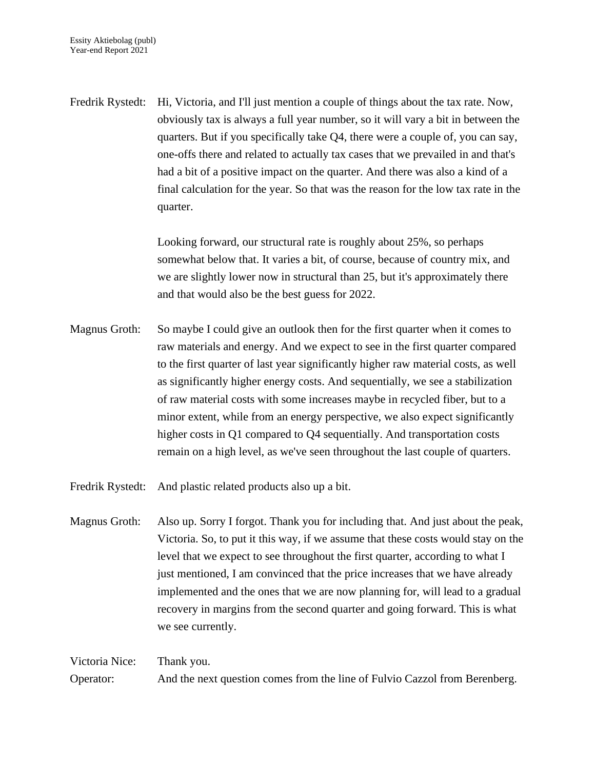Fredrik Rystedt: Hi, Victoria, and I'll just mention a couple of things about the tax rate. Now, obviously tax is always a full year number, so it will vary a bit in between the quarters. But if you specifically take Q4, there were a couple of, you can say, one-offs there and related to actually tax cases that we prevailed in and that's had a bit of a positive impact on the quarter. And there was also a kind of a final calculation for the year. So that was the reason for the low tax rate in the quarter.

> Looking forward, our structural rate is roughly about 25%, so perhaps somewhat below that. It varies a bit, of course, because of country mix, and we are slightly lower now in structural than 25, but it's approximately there and that would also be the best guess for 2022.

Magnus Groth: So maybe I could give an outlook then for the first quarter when it comes to raw materials and energy. And we expect to see in the first quarter compared to the first quarter of last year significantly higher raw material costs, as well as significantly higher energy costs. And sequentially, we see a stabilization of raw material costs with some increases maybe in recycled fiber, but to a minor extent, while from an energy perspective, we also expect significantly higher costs in Q1 compared to Q4 sequentially. And transportation costs remain on a high level, as we've seen throughout the last couple of quarters.

Fredrik Rystedt: And plastic related products also up a bit.

Magnus Groth: Also up. Sorry I forgot. Thank you for including that. And just about the peak, Victoria. So, to put it this way, if we assume that these costs would stay on the level that we expect to see throughout the first quarter, according to what I just mentioned, I am convinced that the price increases that we have already implemented and the ones that we are now planning for, will lead to a gradual recovery in margins from the second quarter and going forward. This is what we see currently.

Victoria Nice: Thank you. Operator: And the next question comes from the line of Fulvio Cazzol from Berenberg.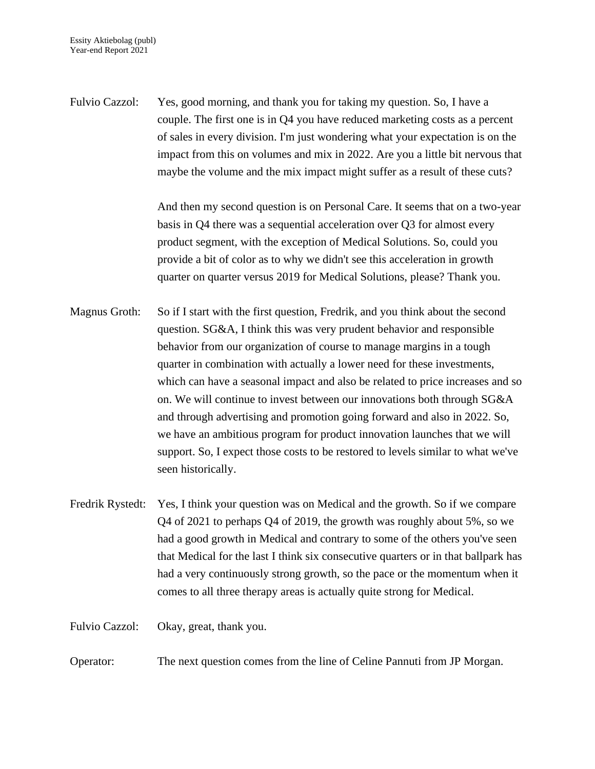Fulvio Cazzol: Yes, good morning, and thank you for taking my question. So, I have a couple. The first one is in Q4 you have reduced marketing costs as a percent of sales in every division. I'm just wondering what your expectation is on the impact from this on volumes and mix in 2022. Are you a little bit nervous that maybe the volume and the mix impact might suffer as a result of these cuts?

> And then my second question is on Personal Care. It seems that on a two-year basis in Q4 there was a sequential acceleration over Q3 for almost every product segment, with the exception of Medical Solutions. So, could you provide a bit of color as to why we didn't see this acceleration in growth quarter on quarter versus 2019 for Medical Solutions, please? Thank you.

- Magnus Groth: So if I start with the first question, Fredrik, and you think about the second question. SG&A, I think this was very prudent behavior and responsible behavior from our organization of course to manage margins in a tough quarter in combination with actually a lower need for these investments, which can have a seasonal impact and also be related to price increases and so on. We will continue to invest between our innovations both through SG&A and through advertising and promotion going forward and also in 2022. So, we have an ambitious program for product innovation launches that we will support. So, I expect those costs to be restored to levels similar to what we've seen historically.
- Fredrik Rystedt: Yes, I think your question was on Medical and the growth. So if we compare Q4 of 2021 to perhaps Q4 of 2019, the growth was roughly about 5%, so we had a good growth in Medical and contrary to some of the others you've seen that Medical for the last I think six consecutive quarters or in that ballpark has had a very continuously strong growth, so the pace or the momentum when it comes to all three therapy areas is actually quite strong for Medical.

Fulvio Cazzol: Okay, great, thank you.

Operator: The next question comes from the line of Celine Pannuti from JP Morgan.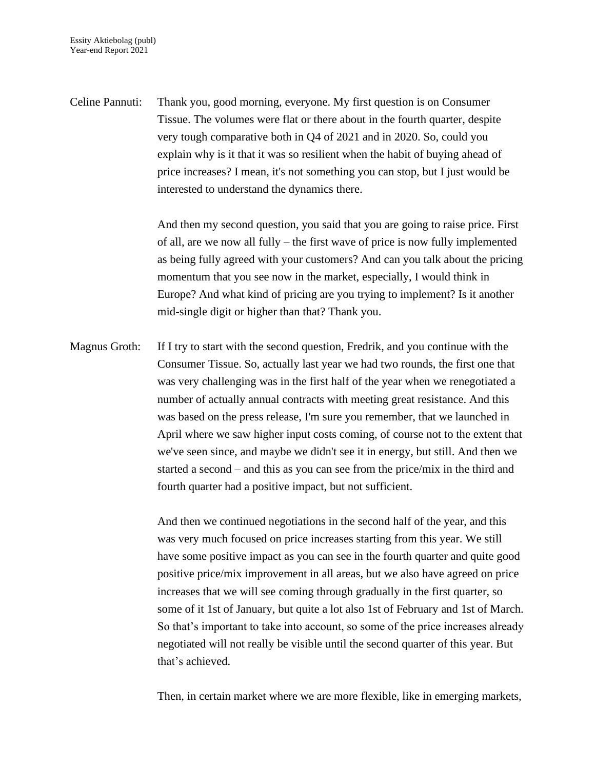Celine Pannuti: Thank you, good morning, everyone. My first question is on Consumer Tissue. The volumes were flat or there about in the fourth quarter, despite very tough comparative both in Q4 of 2021 and in 2020. So, could you explain why is it that it was so resilient when the habit of buying ahead of price increases? I mean, it's not something you can stop, but I just would be interested to understand the dynamics there.

> And then my second question, you said that you are going to raise price. First of all, are we now all fully – the first wave of price is now fully implemented as being fully agreed with your customers? And can you talk about the pricing momentum that you see now in the market, especially, I would think in Europe? And what kind of pricing are you trying to implement? Is it another mid-single digit or higher than that? Thank you.

Magnus Groth: If I try to start with the second question, Fredrik, and you continue with the Consumer Tissue. So, actually last year we had two rounds, the first one that was very challenging was in the first half of the year when we renegotiated a number of actually annual contracts with meeting great resistance. And this was based on the press release, I'm sure you remember, that we launched in April where we saw higher input costs coming, of course not to the extent that we've seen since, and maybe we didn't see it in energy, but still. And then we started a second – and this as you can see from the price/mix in the third and fourth quarter had a positive impact, but not sufficient.

> And then we continued negotiations in the second half of the year, and this was very much focused on price increases starting from this year. We still have some positive impact as you can see in the fourth quarter and quite good positive price/mix improvement in all areas, but we also have agreed on price increases that we will see coming through gradually in the first quarter, so some of it 1st of January, but quite a lot also 1st of February and 1st of March. So that's important to take into account, so some of the price increases already negotiated will not really be visible until the second quarter of this year. But that's achieved.

> Then, in certain market where we are more flexible, like in emerging markets,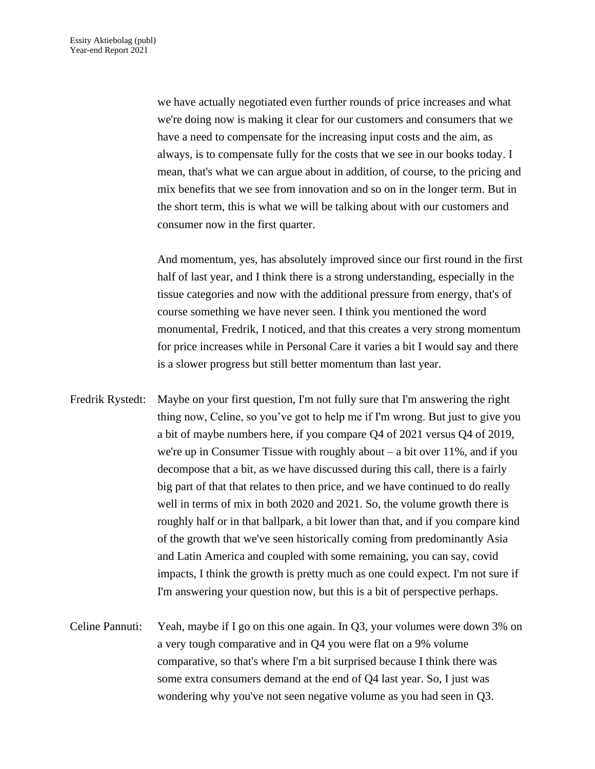we have actually negotiated even further rounds of price increases and what we're doing now is making it clear for our customers and consumers that we have a need to compensate for the increasing input costs and the aim, as always, is to compensate fully for the costs that we see in our books today. I mean, that's what we can argue about in addition, of course, to the pricing and mix benefits that we see from innovation and so on in the longer term. But in the short term, this is what we will be talking about with our customers and consumer now in the first quarter.

And momentum, yes, has absolutely improved since our first round in the first half of last year, and I think there is a strong understanding, especially in the tissue categories and now with the additional pressure from energy, that's of course something we have never seen. I think you mentioned the word monumental, Fredrik, I noticed, and that this creates a very strong momentum for price increases while in Personal Care it varies a bit I would say and there is a slower progress but still better momentum than last year.

- Fredrik Rystedt: Maybe on your first question, I'm not fully sure that I'm answering the right thing now, Celine, so you've got to help me if I'm wrong. But just to give you a bit of maybe numbers here, if you compare Q4 of 2021 versus Q4 of 2019, we're up in Consumer Tissue with roughly about – a bit over 11%, and if you decompose that a bit, as we have discussed during this call, there is a fairly big part of that that relates to then price, and we have continued to do really well in terms of mix in both 2020 and 2021. So, the volume growth there is roughly half or in that ballpark, a bit lower than that, and if you compare kind of the growth that we've seen historically coming from predominantly Asia and Latin America and coupled with some remaining, you can say, covid impacts, I think the growth is pretty much as one could expect. I'm not sure if I'm answering your question now, but this is a bit of perspective perhaps.
- Celine Pannuti: Yeah, maybe if I go on this one again. In Q3, your volumes were down 3% on a very tough comparative and in Q4 you were flat on a 9% volume comparative, so that's where I'm a bit surprised because I think there was some extra consumers demand at the end of Q4 last year. So, I just was wondering why you've not seen negative volume as you had seen in Q3.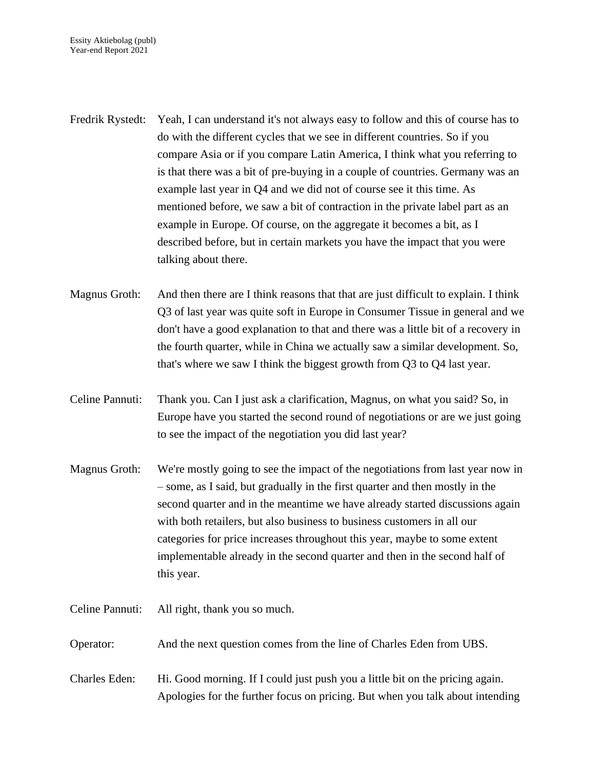Fredrik Rystedt: Yeah, I can understand it's not always easy to follow and this of course has to do with the different cycles that we see in different countries. So if you compare Asia or if you compare Latin America, I think what you referring to is that there was a bit of pre-buying in a couple of countries. Germany was an example last year in Q4 and we did not of course see it this time. As mentioned before, we saw a bit of contraction in the private label part as an example in Europe. Of course, on the aggregate it becomes a bit, as I described before, but in certain markets you have the impact that you were talking about there.

Magnus Groth: And then there are I think reasons that that are just difficult to explain. I think Q3 of last year was quite soft in Europe in Consumer Tissue in general and we don't have a good explanation to that and there was a little bit of a recovery in the fourth quarter, while in China we actually saw a similar development. So, that's where we saw I think the biggest growth from Q3 to Q4 last year.

Celine Pannuti: Thank you. Can I just ask a clarification, Magnus, on what you said? So, in Europe have you started the second round of negotiations or are we just going to see the impact of the negotiation you did last year?

Magnus Groth: We're mostly going to see the impact of the negotiations from last year now in – some, as I said, but gradually in the first quarter and then mostly in the second quarter and in the meantime we have already started discussions again with both retailers, but also business to business customers in all our categories for price increases throughout this year, maybe to some extent implementable already in the second quarter and then in the second half of this year.

Celine Pannuti: All right, thank you so much.

Operator: And the next question comes from the line of Charles Eden from UBS.

Charles Eden: Hi. Good morning. If I could just push you a little bit on the pricing again. Apologies for the further focus on pricing. But when you talk about intending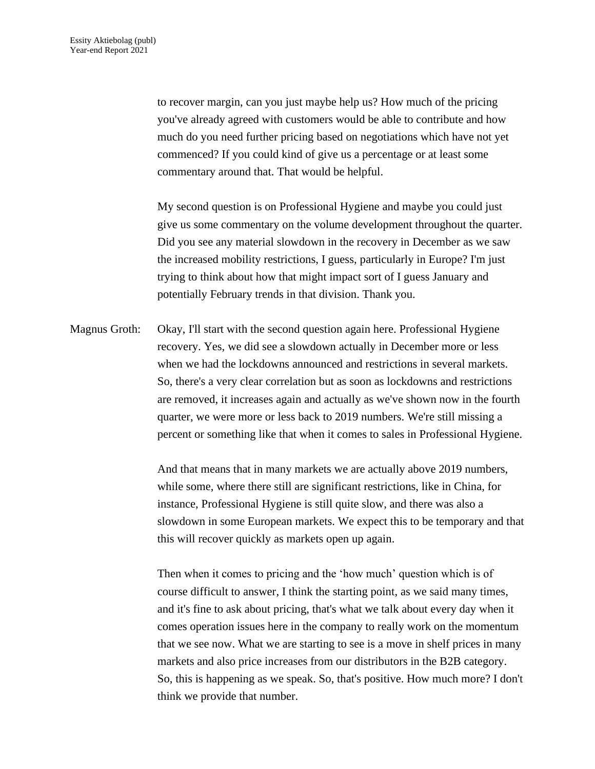to recover margin, can you just maybe help us? How much of the pricing you've already agreed with customers would be able to contribute and how much do you need further pricing based on negotiations which have not yet commenced? If you could kind of give us a percentage or at least some commentary around that. That would be helpful.

My second question is on Professional Hygiene and maybe you could just give us some commentary on the volume development throughout the quarter. Did you see any material slowdown in the recovery in December as we saw the increased mobility restrictions, I guess, particularly in Europe? I'm just trying to think about how that might impact sort of I guess January and potentially February trends in that division. Thank you.

Magnus Groth: Okay, I'll start with the second question again here. Professional Hygiene recovery. Yes, we did see a slowdown actually in December more or less when we had the lockdowns announced and restrictions in several markets. So, there's a very clear correlation but as soon as lockdowns and restrictions are removed, it increases again and actually as we've shown now in the fourth quarter, we were more or less back to 2019 numbers. We're still missing a percent or something like that when it comes to sales in Professional Hygiene.

> And that means that in many markets we are actually above 2019 numbers, while some, where there still are significant restrictions, like in China, for instance, Professional Hygiene is still quite slow, and there was also a slowdown in some European markets. We expect this to be temporary and that this will recover quickly as markets open up again.

> Then when it comes to pricing and the 'how much' question which is of course difficult to answer, I think the starting point, as we said many times, and it's fine to ask about pricing, that's what we talk about every day when it comes operation issues here in the company to really work on the momentum that we see now. What we are starting to see is a move in shelf prices in many markets and also price increases from our distributors in the B2B category. So, this is happening as we speak. So, that's positive. How much more? I don't think we provide that number.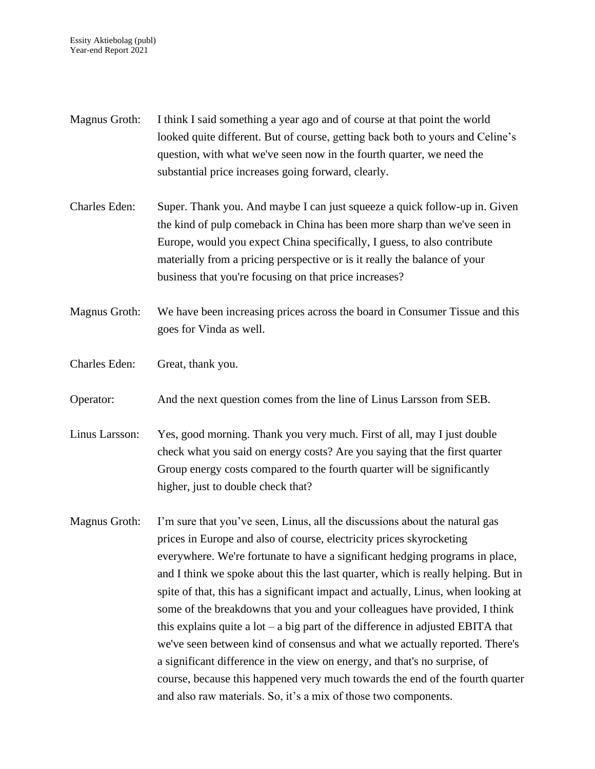- Magnus Groth: I think I said something a year ago and of course at that point the world looked quite different. But of course, getting back both to yours and Celine's question, with what we've seen now in the fourth quarter, we need the substantial price increases going forward, clearly.
- Charles Eden: Super. Thank you. And maybe I can just squeeze a quick follow-up in. Given the kind of pulp comeback in China has been more sharp than we've seen in Europe, would you expect China specifically, I guess, to also contribute materially from a pricing perspective or is it really the balance of your business that you're focusing on that price increases?
- Magnus Groth: We have been increasing prices across the board in Consumer Tissue and this goes for Vinda as well.
- Charles Eden: Great, thank you.
- Operator: And the next question comes from the line of Linus Larsson from SEB.
- Linus Larsson: Yes, good morning. Thank you very much. First of all, may I just double check what you said on energy costs? Are you saying that the first quarter Group energy costs compared to the fourth quarter will be significantly higher, just to double check that?
- Magnus Groth: I'm sure that you've seen, Linus, all the discussions about the natural gas prices in Europe and also of course, electricity prices skyrocketing everywhere. We're fortunate to have a significant hedging programs in place, and I think we spoke about this the last quarter, which is really helping. But in spite of that, this has a significant impact and actually, Linus, when looking at some of the breakdowns that you and your colleagues have provided, I think this explains quite a  $\text{lot} - \text{a}$  big part of the difference in adjusted EBITA that we've seen between kind of consensus and what we actually reported. There's a significant difference in the view on energy, and that's no surprise, of course, because this happened very much towards the end of the fourth quarter and also raw materials. So, it's a mix of those two components.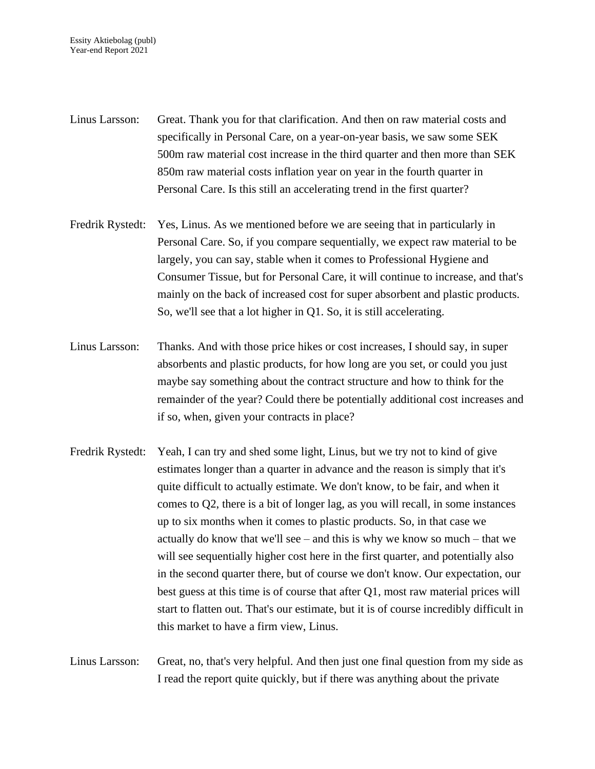- Linus Larsson: Great. Thank you for that clarification. And then on raw material costs and specifically in Personal Care, on a year-on-year basis, we saw some SEK 500m raw material cost increase in the third quarter and then more than SEK 850m raw material costs inflation year on year in the fourth quarter in Personal Care. Is this still an accelerating trend in the first quarter?
- Fredrik Rystedt: Yes, Linus. As we mentioned before we are seeing that in particularly in Personal Care. So, if you compare sequentially, we expect raw material to be largely, you can say, stable when it comes to Professional Hygiene and Consumer Tissue, but for Personal Care, it will continue to increase, and that's mainly on the back of increased cost for super absorbent and plastic products. So, we'll see that a lot higher in Q1. So, it is still accelerating.
- Linus Larsson: Thanks. And with those price hikes or cost increases, I should say, in super absorbents and plastic products, for how long are you set, or could you just maybe say something about the contract structure and how to think for the remainder of the year? Could there be potentially additional cost increases and if so, when, given your contracts in place?
- Fredrik Rystedt: Yeah, I can try and shed some light, Linus, but we try not to kind of give estimates longer than a quarter in advance and the reason is simply that it's quite difficult to actually estimate. We don't know, to be fair, and when it comes to Q2, there is a bit of longer lag, as you will recall, in some instances up to six months when it comes to plastic products. So, in that case we actually do know that we'll see – and this is why we know so much – that we will see sequentially higher cost here in the first quarter, and potentially also in the second quarter there, but of course we don't know. Our expectation, our best guess at this time is of course that after Q1, most raw material prices will start to flatten out. That's our estimate, but it is of course incredibly difficult in this market to have a firm view, Linus.
- Linus Larsson: Great, no, that's very helpful. And then just one final question from my side as I read the report quite quickly, but if there was anything about the private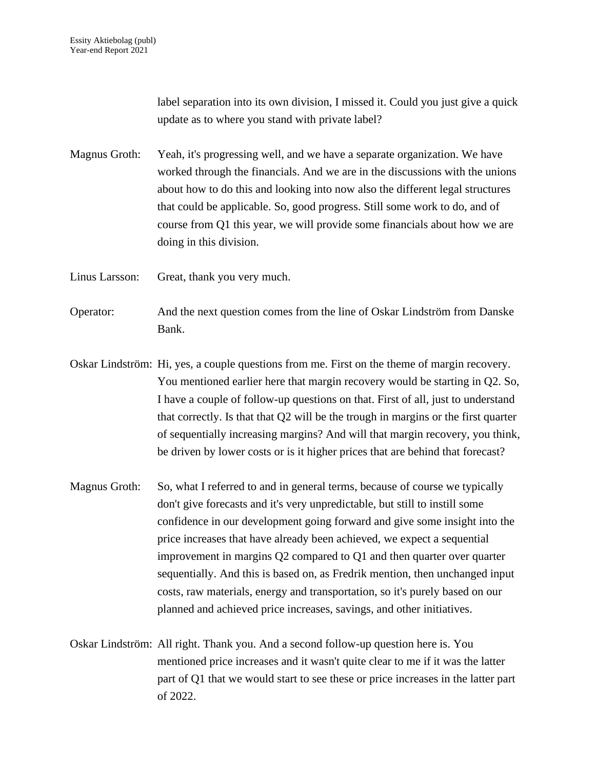label separation into its own division, I missed it. Could you just give a quick update as to where you stand with private label?

Magnus Groth: Yeah, it's progressing well, and we have a separate organization. We have worked through the financials. And we are in the discussions with the unions about how to do this and looking into now also the different legal structures that could be applicable. So, good progress. Still some work to do, and of course from Q1 this year, we will provide some financials about how we are doing in this division.

Linus Larsson: Great, thank you very much.

- Operator: And the next question comes from the line of Oskar Lindström from Danske Bank.
- Oskar Lindström: Hi, yes, a couple questions from me. First on the theme of margin recovery. You mentioned earlier here that margin recovery would be starting in Q2. So, I have a couple of follow-up questions on that. First of all, just to understand that correctly. Is that that Q2 will be the trough in margins or the first quarter of sequentially increasing margins? And will that margin recovery, you think, be driven by lower costs or is it higher prices that are behind that forecast?
- Magnus Groth: So, what I referred to and in general terms, because of course we typically don't give forecasts and it's very unpredictable, but still to instill some confidence in our development going forward and give some insight into the price increases that have already been achieved, we expect a sequential improvement in margins Q2 compared to Q1 and then quarter over quarter sequentially. And this is based on, as Fredrik mention, then unchanged input costs, raw materials, energy and transportation, so it's purely based on our planned and achieved price increases, savings, and other initiatives.
- Oskar Lindström: All right. Thank you. And a second follow-up question here is. You mentioned price increases and it wasn't quite clear to me if it was the latter part of Q1 that we would start to see these or price increases in the latter part of 2022.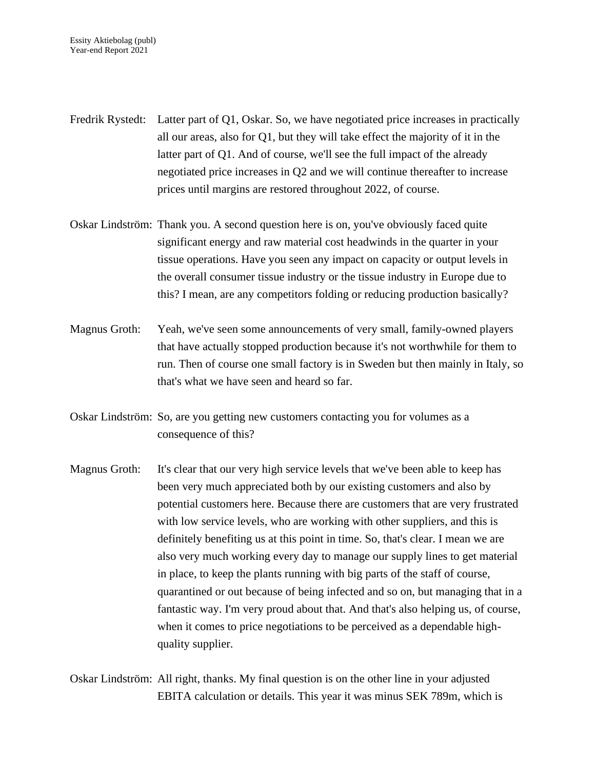- Fredrik Rystedt: Latter part of Q1, Oskar. So, we have negotiated price increases in practically all our areas, also for Q1, but they will take effect the majority of it in the latter part of Q1. And of course, we'll see the full impact of the already negotiated price increases in Q2 and we will continue thereafter to increase prices until margins are restored throughout 2022, of course.
- Oskar Lindström: Thank you. A second question here is on, you've obviously faced quite significant energy and raw material cost headwinds in the quarter in your tissue operations. Have you seen any impact on capacity or output levels in the overall consumer tissue industry or the tissue industry in Europe due to this? I mean, are any competitors folding or reducing production basically?
- Magnus Groth: Yeah, we've seen some announcements of very small, family-owned players that have actually stopped production because it's not worthwhile for them to run. Then of course one small factory is in Sweden but then mainly in Italy, so that's what we have seen and heard so far.
- Oskar Lindström: So, are you getting new customers contacting you for volumes as a consequence of this?
- Magnus Groth: It's clear that our very high service levels that we've been able to keep has been very much appreciated both by our existing customers and also by potential customers here. Because there are customers that are very frustrated with low service levels, who are working with other suppliers, and this is definitely benefiting us at this point in time. So, that's clear. I mean we are also very much working every day to manage our supply lines to get material in place, to keep the plants running with big parts of the staff of course, quarantined or out because of being infected and so on, but managing that in a fantastic way. I'm very proud about that. And that's also helping us, of course, when it comes to price negotiations to be perceived as a dependable highquality supplier.

Oskar Lindström: All right, thanks. My final question is on the other line in your adjusted EBITA calculation or details. This year it was minus SEK 789m, which is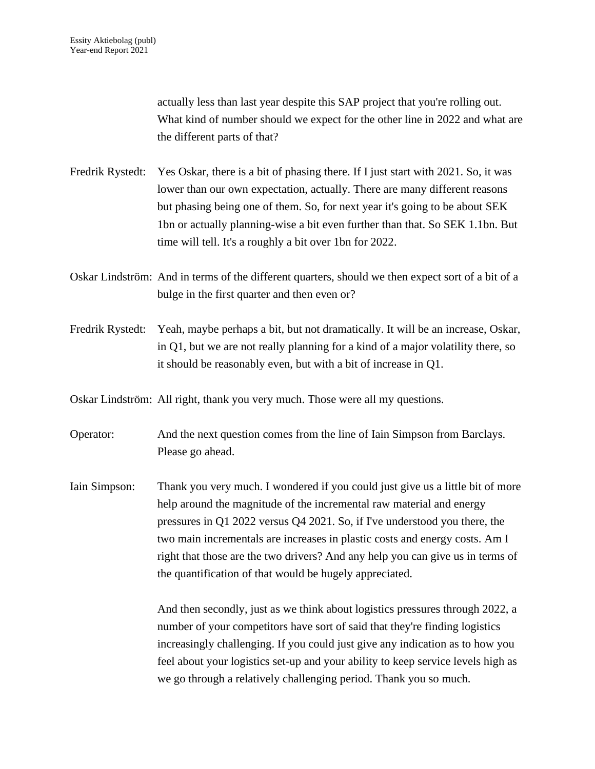actually less than last year despite this SAP project that you're rolling out. What kind of number should we expect for the other line in 2022 and what are the different parts of that?

- Fredrik Rystedt: Yes Oskar, there is a bit of phasing there. If I just start with 2021. So, it was lower than our own expectation, actually. There are many different reasons but phasing being one of them. So, for next year it's going to be about SEK 1bn or actually planning-wise a bit even further than that. So SEK 1.1bn. But time will tell. It's a roughly a bit over 1bn for 2022.
- Oskar Lindström: And in terms of the different quarters, should we then expect sort of a bit of a bulge in the first quarter and then even or?
- Fredrik Rystedt: Yeah, maybe perhaps a bit, but not dramatically. It will be an increase, Oskar, in Q1, but we are not really planning for a kind of a major volatility there, so it should be reasonably even, but with a bit of increase in Q1.

Oskar Lindström: All right, thank you very much. Those were all my questions.

- Operator: And the next question comes from the line of Iain Simpson from Barclays. Please go ahead.
- Iain Simpson: Thank you very much. I wondered if you could just give us a little bit of more help around the magnitude of the incremental raw material and energy pressures in Q1 2022 versus Q4 2021. So, if I've understood you there, the two main incrementals are increases in plastic costs and energy costs. Am I right that those are the two drivers? And any help you can give us in terms of the quantification of that would be hugely appreciated.

And then secondly, just as we think about logistics pressures through 2022, a number of your competitors have sort of said that they're finding logistics increasingly challenging. If you could just give any indication as to how you feel about your logistics set-up and your ability to keep service levels high as we go through a relatively challenging period. Thank you so much.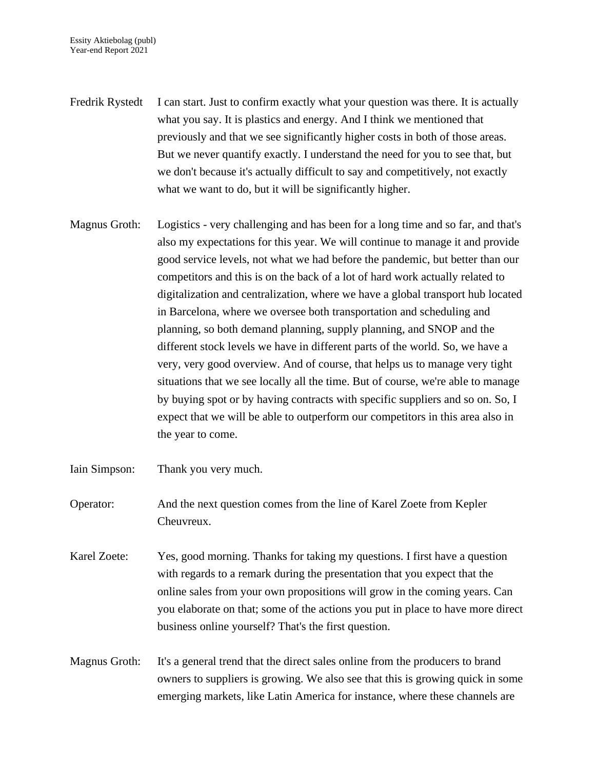- Fredrik Rystedt I can start. Just to confirm exactly what your question was there. It is actually what you say. It is plastics and energy. And I think we mentioned that previously and that we see significantly higher costs in both of those areas. But we never quantify exactly. I understand the need for you to see that, but we don't because it's actually difficult to say and competitively, not exactly what we want to do, but it will be significantly higher.
- Magnus Groth: Logistics very challenging and has been for a long time and so far, and that's also my expectations for this year. We will continue to manage it and provide good service levels, not what we had before the pandemic, but better than our competitors and this is on the back of a lot of hard work actually related to digitalization and centralization, where we have a global transport hub located in Barcelona, where we oversee both transportation and scheduling and planning, so both demand planning, supply planning, and SNOP and the different stock levels we have in different parts of the world. So, we have a very, very good overview. And of course, that helps us to manage very tight situations that we see locally all the time. But of course, we're able to manage by buying spot or by having contracts with specific suppliers and so on. So, I expect that we will be able to outperform our competitors in this area also in the year to come.
- Iain Simpson: Thank you very much.
- Operator: And the next question comes from the line of Karel Zoete from Kepler Cheuvreux.
- Karel Zoete: Yes, good morning. Thanks for taking my questions. I first have a question with regards to a remark during the presentation that you expect that the online sales from your own propositions will grow in the coming years. Can you elaborate on that; some of the actions you put in place to have more direct business online yourself? That's the first question.
- Magnus Groth: It's a general trend that the direct sales online from the producers to brand owners to suppliers is growing. We also see that this is growing quick in some emerging markets, like Latin America for instance, where these channels are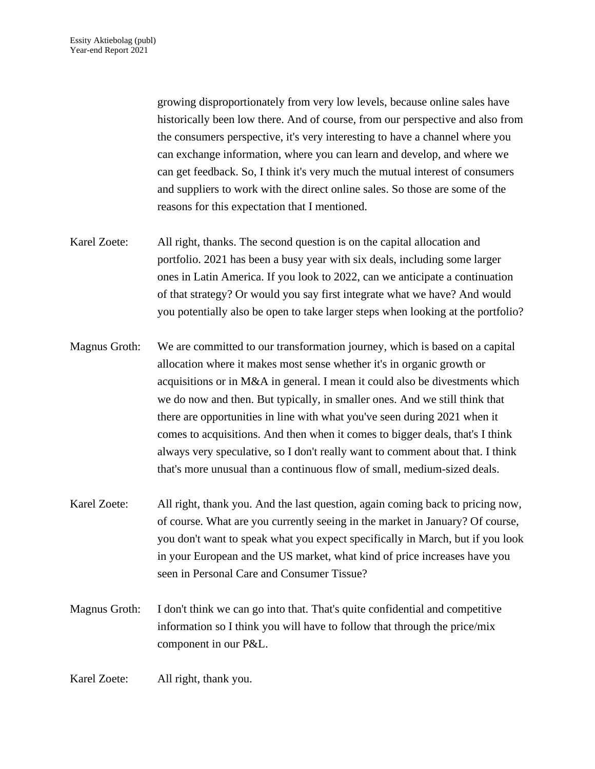growing disproportionately from very low levels, because online sales have historically been low there. And of course, from our perspective and also from the consumers perspective, it's very interesting to have a channel where you can exchange information, where you can learn and develop, and where we can get feedback. So, I think it's very much the mutual interest of consumers and suppliers to work with the direct online sales. So those are some of the reasons for this expectation that I mentioned.

- Karel Zoete: All right, thanks. The second question is on the capital allocation and portfolio. 2021 has been a busy year with six deals, including some larger ones in Latin America. If you look to 2022, can we anticipate a continuation of that strategy? Or would you say first integrate what we have? And would you potentially also be open to take larger steps when looking at the portfolio?
- Magnus Groth: We are committed to our transformation journey, which is based on a capital allocation where it makes most sense whether it's in organic growth or acquisitions or in M&A in general. I mean it could also be divestments which we do now and then. But typically, in smaller ones. And we still think that there are opportunities in line with what you've seen during 2021 when it comes to acquisitions. And then when it comes to bigger deals, that's I think always very speculative, so I don't really want to comment about that. I think that's more unusual than a continuous flow of small, medium-sized deals.
- Karel Zoete: All right, thank you. And the last question, again coming back to pricing now, of course. What are you currently seeing in the market in January? Of course, you don't want to speak what you expect specifically in March, but if you look in your European and the US market, what kind of price increases have you seen in Personal Care and Consumer Tissue?
- Magnus Groth: I don't think we can go into that. That's quite confidential and competitive information so I think you will have to follow that through the price/mix component in our P&L.

Karel Zoete: All right, thank you.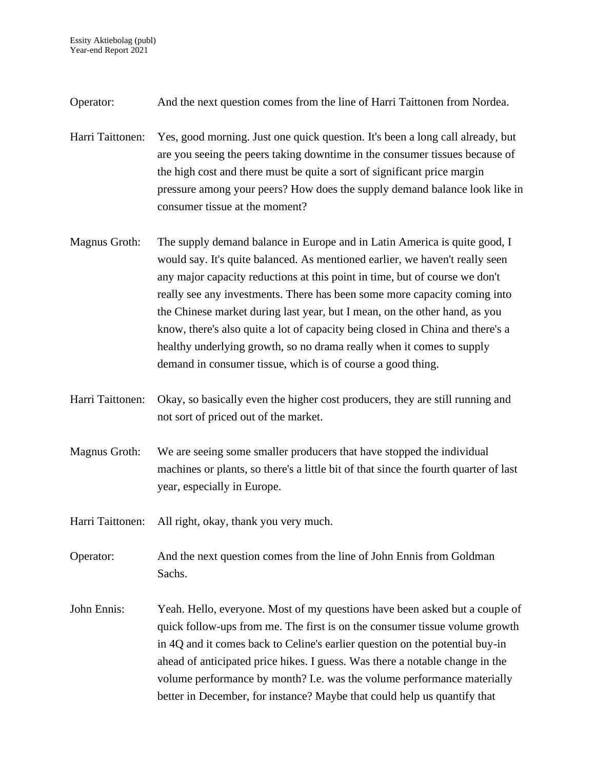- Operator: And the next question comes from the line of Harri Taittonen from Nordea.
- Harri Taittonen: Yes, good morning. Just one quick question. It's been a long call already, but are you seeing the peers taking downtime in the consumer tissues because of the high cost and there must be quite a sort of significant price margin pressure among your peers? How does the supply demand balance look like in consumer tissue at the moment?
- Magnus Groth: The supply demand balance in Europe and in Latin America is quite good, I would say. It's quite balanced. As mentioned earlier, we haven't really seen any major capacity reductions at this point in time, but of course we don't really see any investments. There has been some more capacity coming into the Chinese market during last year, but I mean, on the other hand, as you know, there's also quite a lot of capacity being closed in China and there's a healthy underlying growth, so no drama really when it comes to supply demand in consumer tissue, which is of course a good thing.
- Harri Taittonen: Okay, so basically even the higher cost producers, they are still running and not sort of priced out of the market.
- Magnus Groth: We are seeing some smaller producers that have stopped the individual machines or plants, so there's a little bit of that since the fourth quarter of last year, especially in Europe.
- Harri Taittonen: All right, okay, thank you very much.

Operator: And the next question comes from the line of John Ennis from Goldman Sachs.

John Ennis: Yeah. Hello, everyone. Most of my questions have been asked but a couple of quick follow-ups from me. The first is on the consumer tissue volume growth in 4Q and it comes back to Celine's earlier question on the potential buy-in ahead of anticipated price hikes. I guess. Was there a notable change in the volume performance by month? I.e. was the volume performance materially better in December, for instance? Maybe that could help us quantify that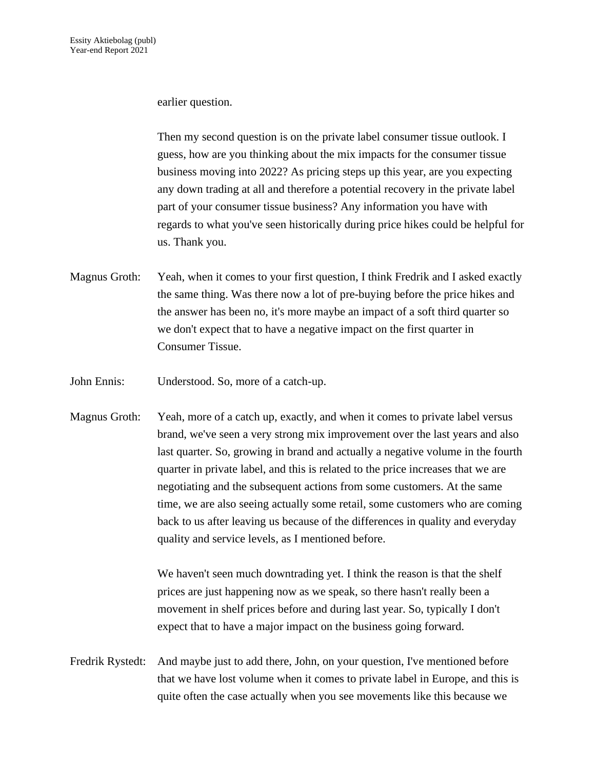## earlier question.

Then my second question is on the private label consumer tissue outlook. I guess, how are you thinking about the mix impacts for the consumer tissue business moving into 2022? As pricing steps up this year, are you expecting any down trading at all and therefore a potential recovery in the private label part of your consumer tissue business? Any information you have with regards to what you've seen historically during price hikes could be helpful for us. Thank you.

- Magnus Groth: Yeah, when it comes to your first question, I think Fredrik and I asked exactly the same thing. Was there now a lot of pre-buying before the price hikes and the answer has been no, it's more maybe an impact of a soft third quarter so we don't expect that to have a negative impact on the first quarter in Consumer Tissue.
- John Ennis: Understood. So, more of a catch-up.
- Magnus Groth: Yeah, more of a catch up, exactly, and when it comes to private label versus brand, we've seen a very strong mix improvement over the last years and also last quarter. So, growing in brand and actually a negative volume in the fourth quarter in private label, and this is related to the price increases that we are negotiating and the subsequent actions from some customers. At the same time, we are also seeing actually some retail, some customers who are coming back to us after leaving us because of the differences in quality and everyday quality and service levels, as I mentioned before.

We haven't seen much downtrading yet. I think the reason is that the shelf prices are just happening now as we speak, so there hasn't really been a movement in shelf prices before and during last year. So, typically I don't expect that to have a major impact on the business going forward.

Fredrik Rystedt: And maybe just to add there, John, on your question, I've mentioned before that we have lost volume when it comes to private label in Europe, and this is quite often the case actually when you see movements like this because we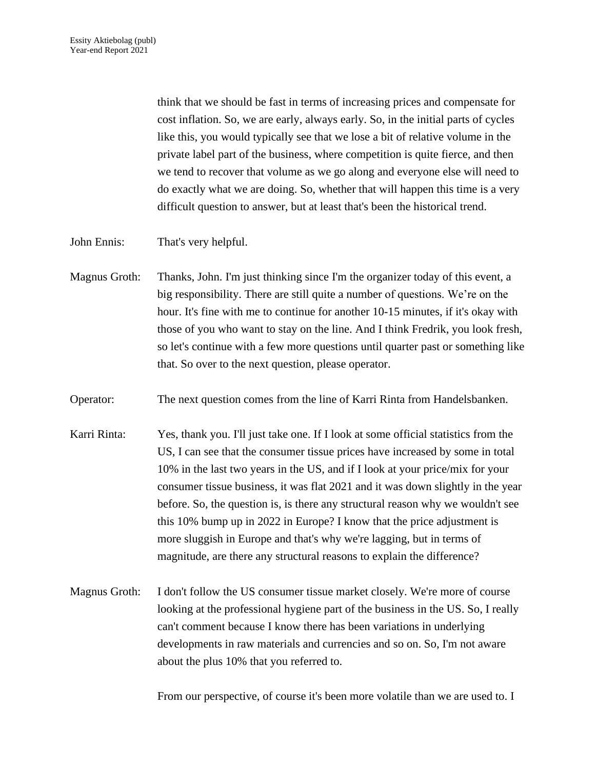think that we should be fast in terms of increasing prices and compensate for cost inflation. So, we are early, always early. So, in the initial parts of cycles like this, you would typically see that we lose a bit of relative volume in the private label part of the business, where competition is quite fierce, and then we tend to recover that volume as we go along and everyone else will need to do exactly what we are doing. So, whether that will happen this time is a very difficult question to answer, but at least that's been the historical trend.

John Ennis: That's very helpful.

- Magnus Groth: Thanks, John. I'm just thinking since I'm the organizer today of this event, a big responsibility. There are still quite a number of questions. We're on the hour. It's fine with me to continue for another 10-15 minutes, if it's okay with those of you who want to stay on the line. And I think Fredrik, you look fresh, so let's continue with a few more questions until quarter past or something like that. So over to the next question, please operator.
- Operator: The next question comes from the line of Karri Rinta from Handelsbanken.
- Karri Rinta: Yes, thank you. I'll just take one. If I look at some official statistics from the US, I can see that the consumer tissue prices have increased by some in total 10% in the last two years in the US, and if I look at your price/mix for your consumer tissue business, it was flat 2021 and it was down slightly in the year before. So, the question is, is there any structural reason why we wouldn't see this 10% bump up in 2022 in Europe? I know that the price adjustment is more sluggish in Europe and that's why we're lagging, but in terms of magnitude, are there any structural reasons to explain the difference?
- Magnus Groth: I don't follow the US consumer tissue market closely. We're more of course looking at the professional hygiene part of the business in the US. So, I really can't comment because I know there has been variations in underlying developments in raw materials and currencies and so on. So, I'm not aware about the plus 10% that you referred to.

From our perspective, of course it's been more volatile than we are used to. I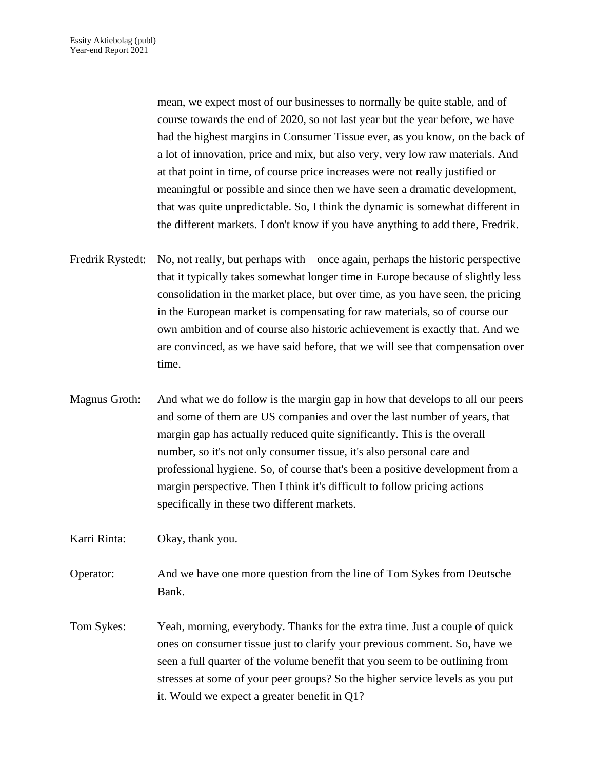mean, we expect most of our businesses to normally be quite stable, and of course towards the end of 2020, so not last year but the year before, we have had the highest margins in Consumer Tissue ever, as you know, on the back of a lot of innovation, price and mix, but also very, very low raw materials. And at that point in time, of course price increases were not really justified or meaningful or possible and since then we have seen a dramatic development, that was quite unpredictable. So, I think the dynamic is somewhat different in the different markets. I don't know if you have anything to add there, Fredrik.

- Fredrik Rystedt: No, not really, but perhaps with once again, perhaps the historic perspective that it typically takes somewhat longer time in Europe because of slightly less consolidation in the market place, but over time, as you have seen, the pricing in the European market is compensating for raw materials, so of course our own ambition and of course also historic achievement is exactly that. And we are convinced, as we have said before, that we will see that compensation over time.
- Magnus Groth: And what we do follow is the margin gap in how that develops to all our peers and some of them are US companies and over the last number of years, that margin gap has actually reduced quite significantly. This is the overall number, so it's not only consumer tissue, it's also personal care and professional hygiene. So, of course that's been a positive development from a margin perspective. Then I think it's difficult to follow pricing actions specifically in these two different markets.

Karri Rinta: Okay, thank you.

- Operator: And we have one more question from the line of Tom Sykes from Deutsche Bank.
- Tom Sykes: Yeah, morning, everybody. Thanks for the extra time. Just a couple of quick ones on consumer tissue just to clarify your previous comment. So, have we seen a full quarter of the volume benefit that you seem to be outlining from stresses at some of your peer groups? So the higher service levels as you put it. Would we expect a greater benefit in Q1?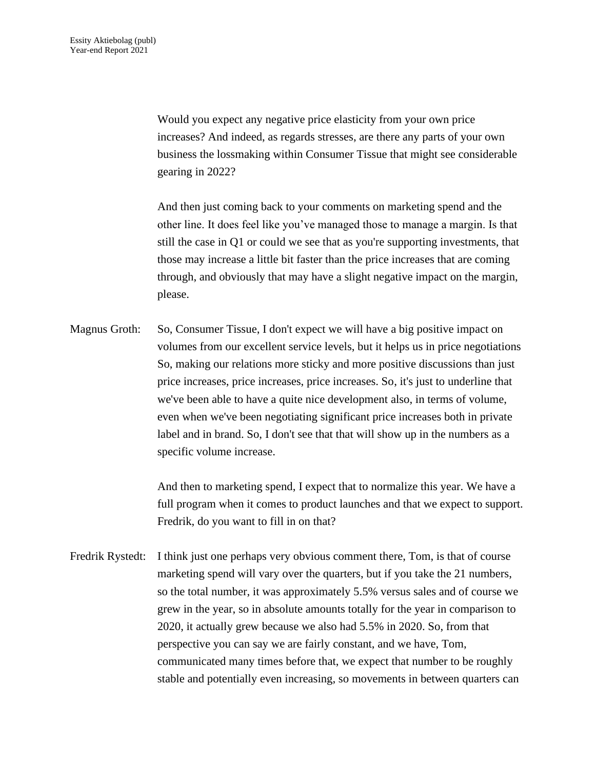Would you expect any negative price elasticity from your own price increases? And indeed, as regards stresses, are there any parts of your own business the lossmaking within Consumer Tissue that might see considerable gearing in 2022?

And then just coming back to your comments on marketing spend and the other line. It does feel like you've managed those to manage a margin. Is that still the case in Q1 or could we see that as you're supporting investments, that those may increase a little bit faster than the price increases that are coming through, and obviously that may have a slight negative impact on the margin, please.

Magnus Groth: So, Consumer Tissue, I don't expect we will have a big positive impact on volumes from our excellent service levels, but it helps us in price negotiations So, making our relations more sticky and more positive discussions than just price increases, price increases, price increases. So, it's just to underline that we've been able to have a quite nice development also, in terms of volume, even when we've been negotiating significant price increases both in private label and in brand. So, I don't see that that will show up in the numbers as a specific volume increase.

> And then to marketing spend, I expect that to normalize this year. We have a full program when it comes to product launches and that we expect to support. Fredrik, do you want to fill in on that?

Fredrik Rystedt: I think just one perhaps very obvious comment there, Tom, is that of course marketing spend will vary over the quarters, but if you take the 21 numbers, so the total number, it was approximately 5.5% versus sales and of course we grew in the year, so in absolute amounts totally for the year in comparison to 2020, it actually grew because we also had 5.5% in 2020. So, from that perspective you can say we are fairly constant, and we have, Tom, communicated many times before that, we expect that number to be roughly stable and potentially even increasing, so movements in between quarters can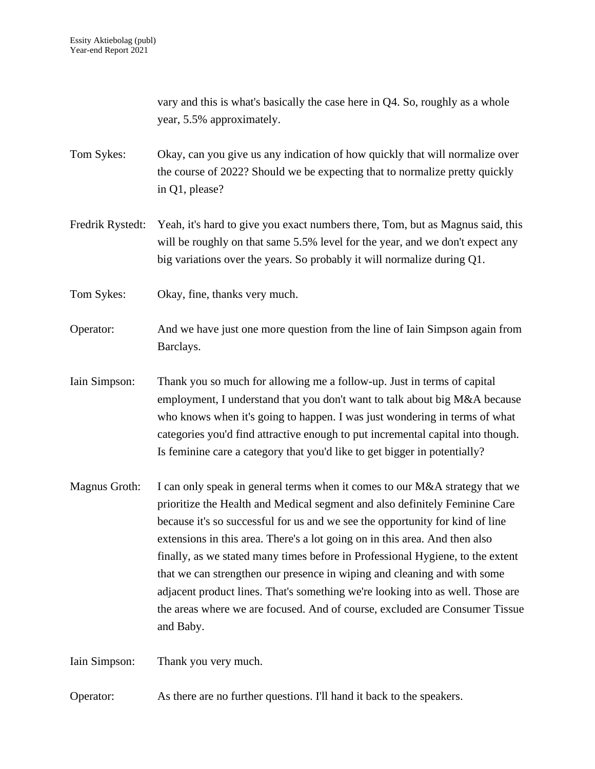vary and this is what's basically the case here in Q4. So, roughly as a whole year, 5.5% approximately.

Tom Sykes: Okay, can you give us any indication of how quickly that will normalize over the course of 2022? Should we be expecting that to normalize pretty quickly in Q1, please?

Fredrik Rystedt: Yeah, it's hard to give you exact numbers there, Tom, but as Magnus said, this will be roughly on that same 5.5% level for the year, and we don't expect any big variations over the years. So probably it will normalize during Q1.

Tom Sykes: Okay, fine, thanks very much.

Operator: And we have just one more question from the line of Iain Simpson again from Barclays.

Iain Simpson: Thank you so much for allowing me a follow-up. Just in terms of capital employment, I understand that you don't want to talk about big M&A because who knows when it's going to happen. I was just wondering in terms of what categories you'd find attractive enough to put incremental capital into though. Is feminine care a category that you'd like to get bigger in potentially?

Magnus Groth: I can only speak in general terms when it comes to our M&A strategy that we prioritize the Health and Medical segment and also definitely Feminine Care because it's so successful for us and we see the opportunity for kind of line extensions in this area. There's a lot going on in this area. And then also finally, as we stated many times before in Professional Hygiene, to the extent that we can strengthen our presence in wiping and cleaning and with some adjacent product lines. That's something we're looking into as well. Those are the areas where we are focused. And of course, excluded are Consumer Tissue and Baby.

Iain Simpson: Thank you very much.

Operator: As there are no further questions. I'll hand it back to the speakers.